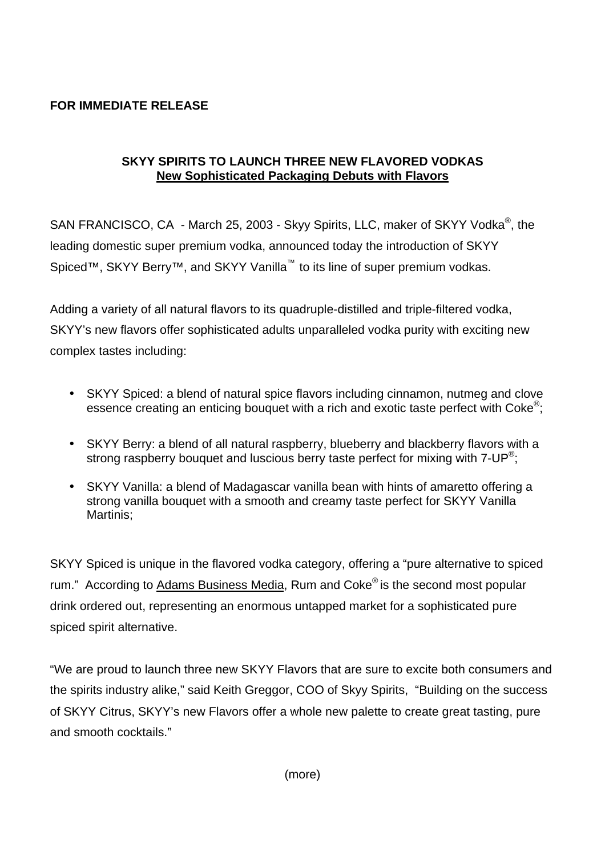# **FOR IMMEDIATE RELEASE**

### **SKYY SPIRITS TO LAUNCH THREE NEW FLAVORED VODKAS New Sophisticated Packaging Debuts with Flavors**

SAN FRANCISCO, CA - March 25, 2003 - Skyy Spirits, LLC, maker of SKYY Vodka<sup>®</sup>, the leading domestic super premium vodka, announced today the introduction of SKYY Spiced™, SKYY Berry™, and SKYY Vanilla<sup>™</sup> to its line of super premium vodkas.

Adding a variety of all natural flavors to its quadruple-distilled and triple-filtered vodka, SKYY's new flavors offer sophisticated adults unparalleled vodka purity with exciting new complex tastes including:

- SKYY Spiced: a blend of natural spice flavors including cinnamon, nutmeg and clove essence creating an enticing bouquet with a rich and exotic taste perfect with Coke<sup>®</sup>;
- SKYY Berry: a blend of all natural raspberry, blueberry and blackberry flavors with a strong raspberry bouquet and luscious berry taste perfect for mixing with 7-UP<sup>®</sup>;
- SKYY Vanilla: a blend of Madagascar vanilla bean with hints of amaretto offering a strong vanilla bouquet with a smooth and creamy taste perfect for SKYY Vanilla Martinis;

SKYY Spiced is unique in the flavored vodka category, offering a "pure alternative to spiced rum." According to Adams Business Media, Rum and Coke<sup>®</sup> is the second most popular drink ordered out, representing an enormous untapped market for a sophisticated pure spiced spirit alternative.

"We are proud to launch three new SKYY Flavors that are sure to excite both consumers and the spirits industry alike," said Keith Greggor, COO of Skyy Spirits, "Building on the success of SKYY Citrus, SKYY's new Flavors offer a whole new palette to create great tasting, pure and smooth cocktails."

(more)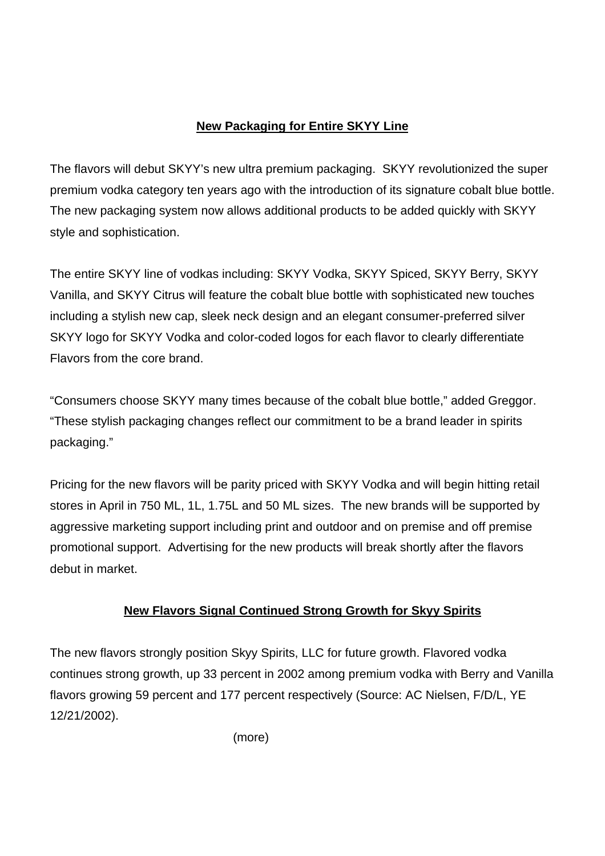# **New Packaging for Entire SKYY Line**

The flavors will debut SKYY's new ultra premium packaging. SKYY revolutionized the super premium vodka category ten years ago with the introduction of its signature cobalt blue bottle. The new packaging system now allows additional products to be added quickly with SKYY style and sophistication.

The entire SKYY line of vodkas including: SKYY Vodka, SKYY Spiced, SKYY Berry, SKYY Vanilla, and SKYY Citrus will feature the cobalt blue bottle with sophisticated new touches including a stylish new cap, sleek neck design and an elegant consumer-preferred silver SKYY logo for SKYY Vodka and color-coded logos for each flavor to clearly differentiate Flavors from the core brand.

"Consumers choose SKYY many times because of the cobalt blue bottle," added Greggor. "These stylish packaging changes reflect our commitment to be a brand leader in spirits packaging."

Pricing for the new flavors will be parity priced with SKYY Vodka and will begin hitting retail stores in April in 750 ML, 1L, 1.75L and 50 ML sizes. The new brands will be supported by aggressive marketing support including print and outdoor and on premise and off premise promotional support. Advertising for the new products will break shortly after the flavors debut in market.

# **New Flavors Signal Continued Strong Growth for Skyy Spirits**

The new flavors strongly position Skyy Spirits, LLC for future growth. Flavored vodka continues strong growth, up 33 percent in 2002 among premium vodka with Berry and Vanilla flavors growing 59 percent and 177 percent respectively (Source: AC Nielsen, F/D/L, YE 12/21/2002).

(more)